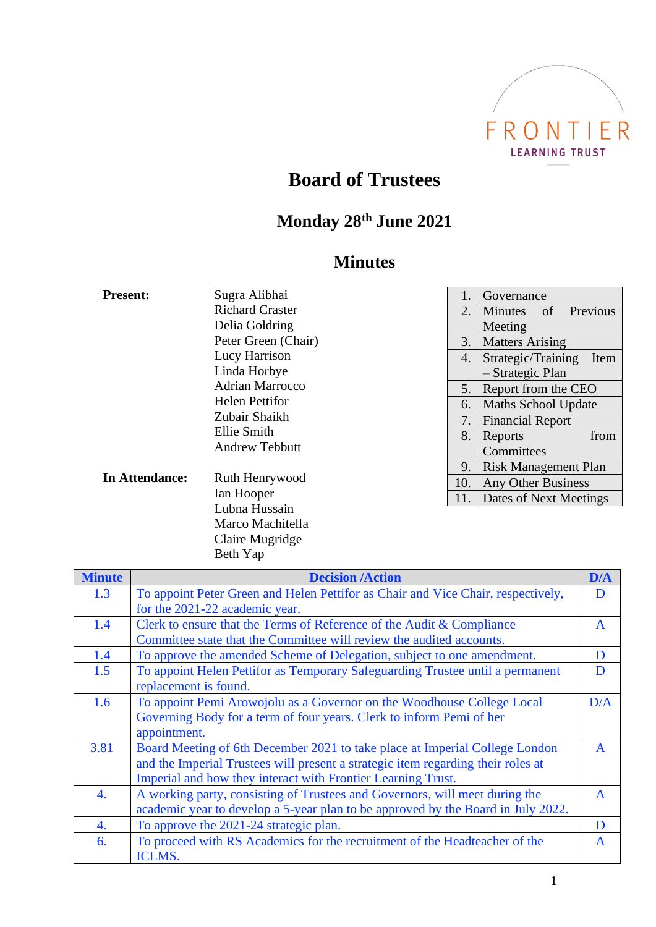

# **Board of Trustees**

# **Monday 28th June 2021**

# **Minutes**

| <b>Present:</b> | Sugra Alibhai          | 1.  | Governance                       |
|-----------------|------------------------|-----|----------------------------------|
|                 | <b>Richard Craster</b> | 2.  | Previous<br><b>Minutes</b><br>of |
|                 | Delia Goldring         |     | Meeting                          |
|                 | Peter Green (Chair)    | 3.  | <b>Matters Arising</b>           |
|                 | Lucy Harrison          | 4.  | Strategic/Training<br>Item       |
|                 | Linda Horbye           |     | - Strategic Plan                 |
|                 | <b>Adrian Marrocco</b> | 5.  | Report from the CEO              |
|                 | <b>Helen Pettifor</b>  | 6.  | Maths School Update              |
|                 | Zubair Shaikh          | 7.  | <b>Financial Report</b>          |
|                 | Ellie Smith            | 8.  | from<br>Reports                  |
|                 | <b>Andrew Tebbutt</b>  |     | Committees                       |
|                 |                        | 9.  | Risk Management Plan             |
| In Attendance:  | Ruth Henrywood         | 10. | Any Other Business               |
|                 | Ian Hooper             | 11. | Dates of Next Meetings           |

Ian Hooper Lubna Hussain Marco Machitella Claire Mugridge Beth Yap

| <b>Minute</b> | <b>Decision /Action</b>                                                          | D/A          |
|---------------|----------------------------------------------------------------------------------|--------------|
| 1.3           | To appoint Peter Green and Helen Pettifor as Chair and Vice Chair, respectively, | D            |
|               | for the 2021-22 academic year.                                                   |              |
| 1.4           | Clerk to ensure that the Terms of Reference of the Audit & Compliance            | A            |
|               | Committee state that the Committee will review the audited accounts.             |              |
| 1.4           | To approve the amended Scheme of Delegation, subject to one amendment.           | D            |
| 1.5           | To appoint Helen Pettifor as Temporary Safeguarding Trustee until a permanent    | D            |
|               | replacement is found.                                                            |              |
| 1.6           | To appoint Pemi Arowojolu as a Governor on the Woodhouse College Local           | D/A          |
|               | Governing Body for a term of four years. Clerk to inform Pemi of her             |              |
|               | appointment.                                                                     |              |
| 3.81          | Board Meeting of 6th December 2021 to take place at Imperial College London      | $\mathbf{A}$ |
|               | and the Imperial Trustees will present a strategic item regarding their roles at |              |
|               | Imperial and how they interact with Frontier Learning Trust.                     |              |
| 4.            | A working party, consisting of Trustees and Governors, will meet during the      | $\mathsf{A}$ |
|               | academic year to develop a 5-year plan to be approved by the Board in July 2022. |              |
| 4.            | To approve the 2021-24 strategic plan.                                           | D            |
| 6.            | To proceed with RS Academics for the recruitment of the Headteacher of the       | A            |
|               | <b>ICLMS.</b>                                                                    |              |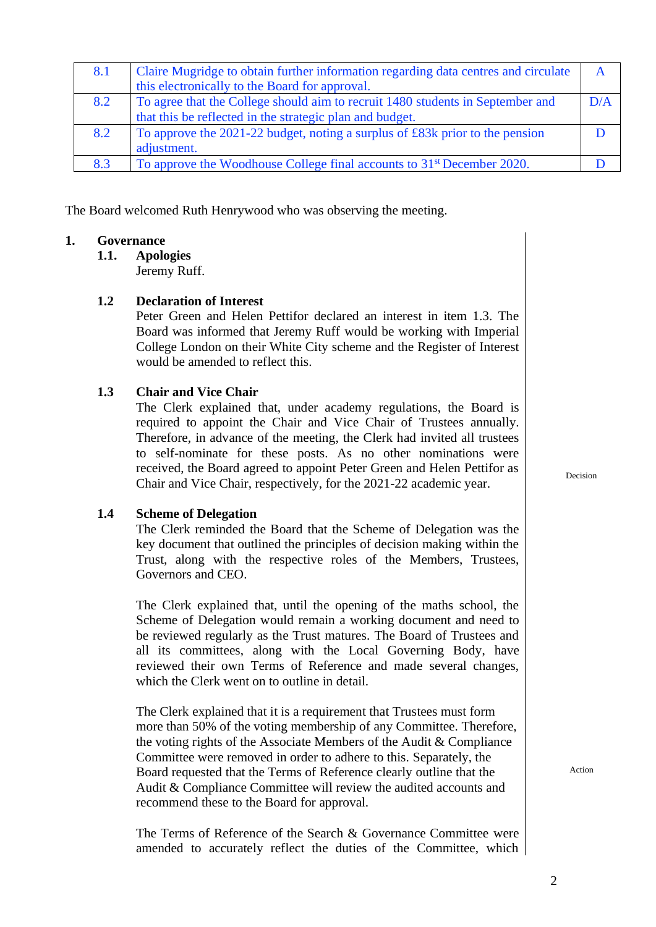| 8.1 | Claire Mugridge to obtain further information regarding data centres and circulate |     |
|-----|------------------------------------------------------------------------------------|-----|
|     | this electronically to the Board for approval.                                     |     |
| 8.2 | To agree that the College should aim to recruit 1480 students in September and     | D/A |
|     | that this be reflected in the strategic plan and budget.                           |     |
| 8.2 | To approve the 2021-22 budget, noting a surplus of £83k prior to the pension       |     |
|     | adjustment.                                                                        |     |
| 8.3 | To approve the Woodhouse College final accounts to 31 <sup>st</sup> December 2020. |     |

The Board welcomed Ruth Henrywood who was observing the meeting.

# **1. Governance**

#### **1.1. Apologies**

Jeremy Ruff.

# **1.2 Declaration of Interest**

Peter Green and Helen Pettifor declared an interest in item 1.3. The Board was informed that Jeremy Ruff would be working with Imperial College London on their White City scheme and the Register of Interest would be amended to reflect this.

# **1.3 Chair and Vice Chair**

The Clerk explained that, under academy regulations, the Board is required to appoint the Chair and Vice Chair of Trustees annually. Therefore, in advance of the meeting, the Clerk had invited all trustees to self-nominate for these posts. As no other nominations were received, the Board agreed to appoint Peter Green and Helen Pettifor as Chair and Vice Chair, respectively, for the 2021-22 academic year.

#### **1.4 Scheme of Delegation**

The Clerk reminded the Board that the Scheme of Delegation was the key document that outlined the principles of decision making within the Trust, along with the respective roles of the Members, Trustees, Governors and CEO.

The Clerk explained that, until the opening of the maths school, the Scheme of Delegation would remain a working document and need to be reviewed regularly as the Trust matures. The Board of Trustees and all its committees, along with the Local Governing Body, have reviewed their own Terms of Reference and made several changes, which the Clerk went on to outline in detail.

The Clerk explained that it is a requirement that Trustees must form more than 50% of the voting membership of any Committee. Therefore, the voting rights of the Associate Members of the Audit & Compliance Committee were removed in order to adhere to this. Separately, the Board requested that the Terms of Reference clearly outline that the Audit & Compliance Committee will review the audited accounts and recommend these to the Board for approval.

The Terms of Reference of the Search & Governance Committee were amended to accurately reflect the duties of the Committee, which Decision

Action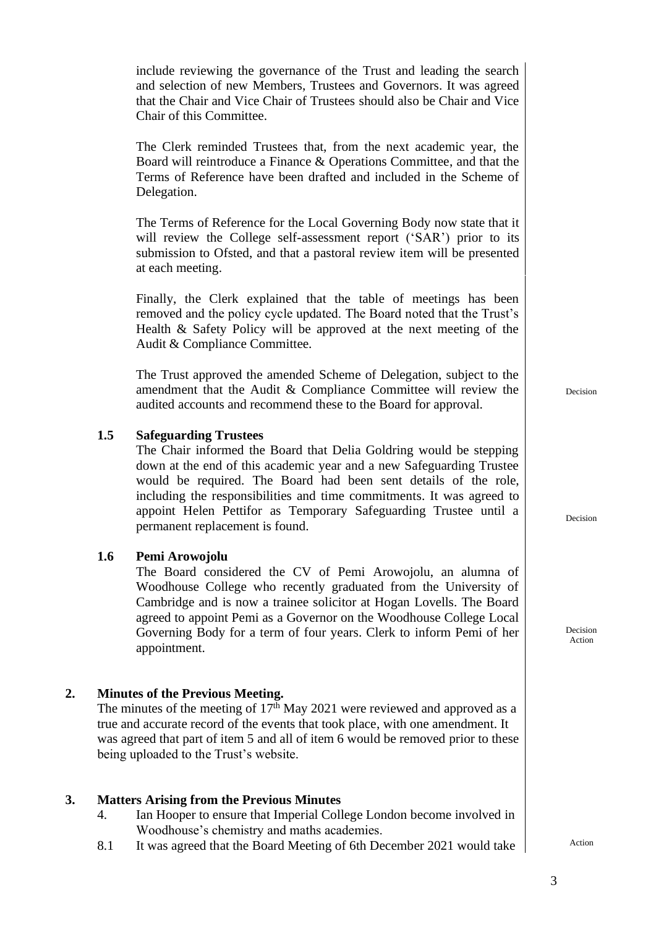|    |     | include reviewing the governance of the Trust and leading the search<br>and selection of new Members, Trustees and Governors. It was agreed<br>that the Chair and Vice Chair of Trustees should also be Chair and Vice<br>Chair of this Committee.                                                                                                                                                                            |  |
|----|-----|-------------------------------------------------------------------------------------------------------------------------------------------------------------------------------------------------------------------------------------------------------------------------------------------------------------------------------------------------------------------------------------------------------------------------------|--|
|    |     | The Clerk reminded Trustees that, from the next academic year, the<br>Board will reintroduce a Finance & Operations Committee, and that the<br>Terms of Reference have been drafted and included in the Scheme of<br>Delegation.                                                                                                                                                                                              |  |
|    |     | The Terms of Reference for the Local Governing Body now state that it<br>will review the College self-assessment report ('SAR') prior to its<br>submission to Ofsted, and that a pastoral review item will be presented<br>at each meeting.                                                                                                                                                                                   |  |
|    |     | Finally, the Clerk explained that the table of meetings has been<br>removed and the policy cycle updated. The Board noted that the Trust's<br>Health & Safety Policy will be approved at the next meeting of the<br>Audit & Compliance Committee.                                                                                                                                                                             |  |
|    |     | The Trust approved the amended Scheme of Delegation, subject to the<br>amendment that the Audit & Compliance Committee will review the<br>audited accounts and recommend these to the Board for approval.                                                                                                                                                                                                                     |  |
|    | 1.5 | <b>Safeguarding Trustees</b><br>The Chair informed the Board that Delia Goldring would be stepping<br>down at the end of this academic year and a new Safeguarding Trustee<br>would be required. The Board had been sent details of the role,<br>including the responsibilities and time commitments. It was agreed to<br>appoint Helen Pettifor as Temporary Safeguarding Trustee until a<br>permanent replacement is found. |  |
|    | 1.6 | Pemi Arowojolu<br>The Board considered the CV of Pemi Arowojolu, an alumna of<br>Woodhouse College who recently graduated from the University of<br>Cambridge and is now a trainee solicitor at Hogan Lovells. The Board<br>agreed to appoint Pemi as a Governor on the Woodhouse College Local<br>Governing Body for a term of four years. Clerk to inform Pemi of her<br>appointment.                                       |  |
| 2. |     | <b>Minutes of the Previous Meeting.</b><br>The minutes of the meeting of $17th$ May 2021 were reviewed and approved as a<br>true and accurate record of the events that took place, with one amendment. It<br>was agreed that part of item 5 and all of item 6 would be removed prior to these<br>being uploaded to the Trust's website.                                                                                      |  |

# **3. Matters Arising from the Previous Minutes**

- 4. Ian Hooper to ensure that Imperial College London become involved in Woodhouse's chemistry and maths academies.
- 8.1 It was agreed that the Board Meeting of 6th December 2021 would take Action

Decision

Decision

Decision Action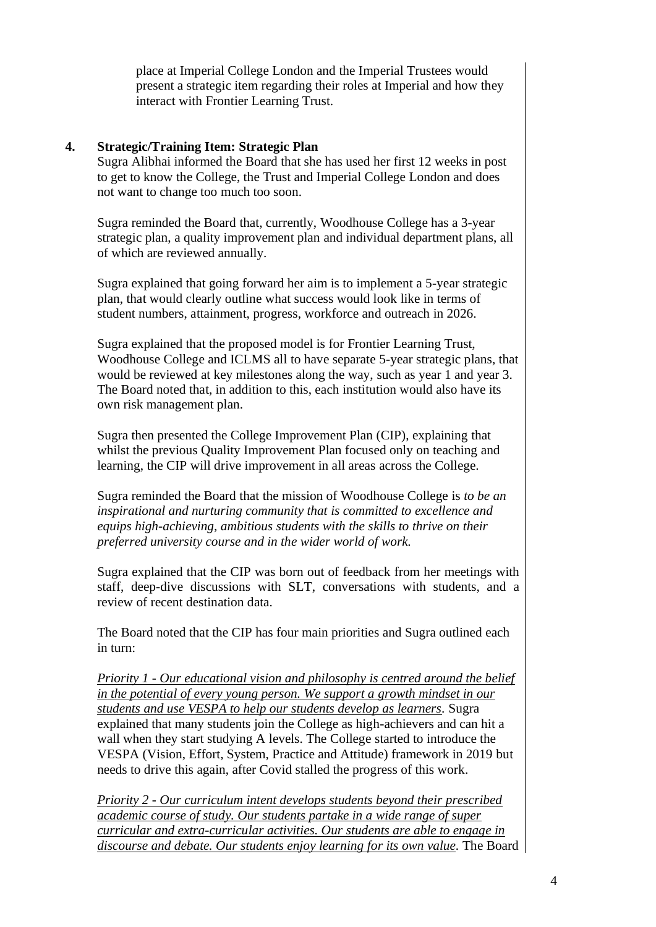place at Imperial College London and the Imperial Trustees would present a strategic item regarding their roles at Imperial and how they interact with Frontier Learning Trust.

# **4. Strategic/Training Item: Strategic Plan**

Sugra Alibhai informed the Board that she has used her first 12 weeks in post to get to know the College, the Trust and Imperial College London and does not want to change too much too soon.

Sugra reminded the Board that, currently, Woodhouse College has a 3-year strategic plan, a quality improvement plan and individual department plans, all of which are reviewed annually.

Sugra explained that going forward her aim is to implement a 5-year strategic plan, that would clearly outline what success would look like in terms of student numbers, attainment, progress, workforce and outreach in 2026.

Sugra explained that the proposed model is for Frontier Learning Trust, Woodhouse College and ICLMS all to have separate 5-year strategic plans, that would be reviewed at key milestones along the way, such as year 1 and year 3. The Board noted that, in addition to this, each institution would also have its own risk management plan.

Sugra then presented the College Improvement Plan (CIP), explaining that whilst the previous Quality Improvement Plan focused only on teaching and learning, the CIP will drive improvement in all areas across the College.

Sugra reminded the Board that the mission of Woodhouse College is *to be an inspirational and nurturing community that is committed to excellence and equips high-achieving, ambitious students with the skills to thrive on their preferred university course and in the wider world of work.*

Sugra explained that the CIP was born out of feedback from her meetings with staff, deep-dive discussions with SLT, conversations with students, and a review of recent destination data.

The Board noted that the CIP has four main priorities and Sugra outlined each in turn:

*Priority 1 - Our educational vision and philosophy is centred around the belief in the potential of every young person. We support a growth mindset in our students and use VESPA to help our students develop as learners.* Sugra explained that many students join the College as high-achievers and can hit a wall when they start studying A levels. The College started to introduce the VESPA (Vision, Effort, System, Practice and Attitude) framework in 2019 but needs to drive this again, after Covid stalled the progress of this work.

*Priority 2 - Our curriculum intent develops students beyond their prescribed academic course of study. Our students partake in a wide range of super curricular and extra-curricular activities. Our students are able to engage in discourse and debate. Our students enjoy learning for its own value.* The Board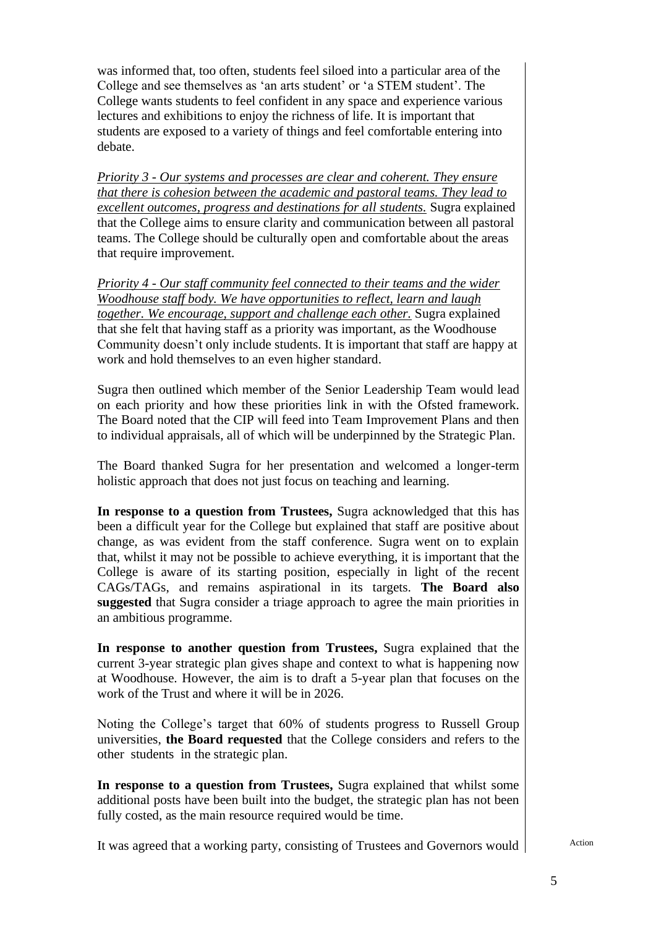was informed that, too often, students feel siloed into a particular area of the College and see themselves as 'an arts student' or 'a STEM student'. The College wants students to feel confident in any space and experience various lectures and exhibitions to enjoy the richness of life. It is important that students are exposed to a variety of things and feel comfortable entering into debate.

*Priority 3 - Our systems and processes are clear and coherent. They ensure that there is cohesion between the academic and pastoral teams. They lead to excellent outcomes, progress and destinations for all students.* Sugra explained that the College aims to ensure clarity and communication between all pastoral teams. The College should be culturally open and comfortable about the areas that require improvement.

*Priority 4 - Our staff community feel connected to their teams and the wider Woodhouse staff body. We have opportunities to reflect, learn and laugh together. We encourage, support and challenge each other.* Sugra explained that she felt that having staff as a priority was important, as the Woodhouse Community doesn't only include students. It is important that staff are happy at work and hold themselves to an even higher standard.

Sugra then outlined which member of the Senior Leadership Team would lead on each priority and how these priorities link in with the Ofsted framework. The Board noted that the CIP will feed into Team Improvement Plans and then to individual appraisals, all of which will be underpinned by the Strategic Plan.

The Board thanked Sugra for her presentation and welcomed a longer-term holistic approach that does not just focus on teaching and learning.

**In response to a question from Trustees,** Sugra acknowledged that this has been a difficult year for the College but explained that staff are positive about change, as was evident from the staff conference. Sugra went on to explain that, whilst it may not be possible to achieve everything, it is important that the College is aware of its starting position, especially in light of the recent CAGs/TAGs, and remains aspirational in its targets. **The Board also suggested** that Sugra consider a triage approach to agree the main priorities in an ambitious programme.

**In response to another question from Trustees,** Sugra explained that the current 3-year strategic plan gives shape and context to what is happening now at Woodhouse. However, the aim is to draft a 5-year plan that focuses on the work of the Trust and where it will be in 2026.

Noting the College's target that 60% of students progress to Russell Group universities, **the Board requested** that the College considers and refers to the other students in the strategic plan.

**In response to a question from Trustees,** Sugra explained that whilst some additional posts have been built into the budget, the strategic plan has not been fully costed, as the main resource required would be time.

It was agreed that a working party, consisting of Trustees and Governors would Action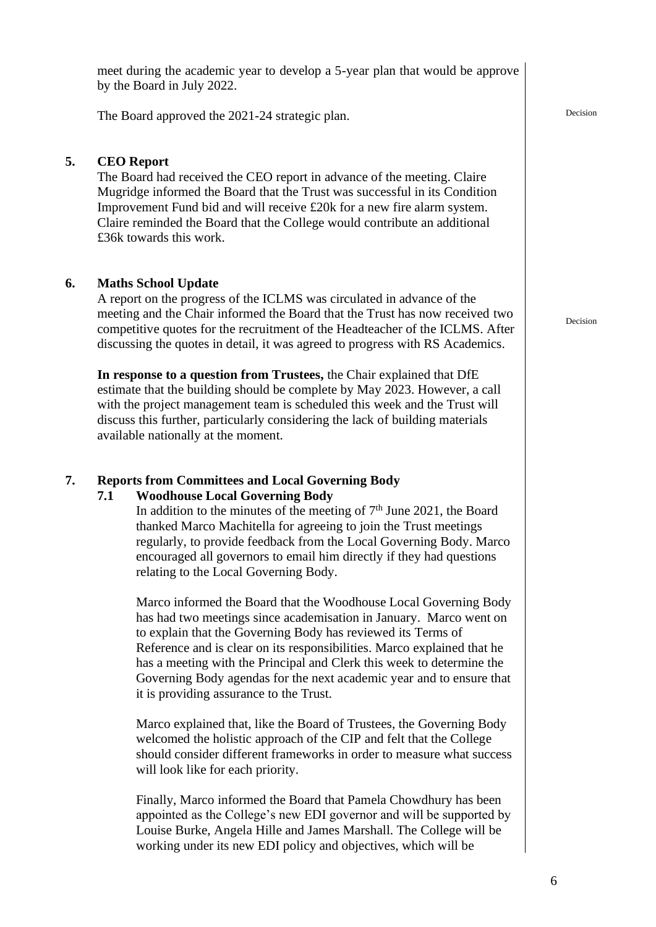meet during the academic year to develop a 5-year plan that would be approve by the Board in July 2022.

The Board approved the 2021-24 strategic plan.

#### **5. CEO Report**

The Board had received the CEO report in advance of the meeting. Claire Mugridge informed the Board that the Trust was successful in its Condition Improvement Fund bid and will receive £20k for a new fire alarm system. Claire reminded the Board that the College would contribute an additional £36k towards this work.

#### **6. Maths School Update**

A report on the progress of the ICLMS was circulated in advance of the meeting and the Chair informed the Board that the Trust has now received two competitive quotes for the recruitment of the Headteacher of the ICLMS. After discussing the quotes in detail, it was agreed to progress with RS Academics.

**In response to a question from Trustees,** the Chair explained that DfE estimate that the building should be complete by May 2023. However, a call with the project management team is scheduled this week and the Trust will discuss this further, particularly considering the lack of building materials available nationally at the moment.

#### **7. Reports from Committees and Local Governing Body 7.1 Woodhouse Local Governing Body**

In addition to the minutes of the meeting of  $7<sup>th</sup>$  June 2021, the Board thanked Marco Machitella for agreeing to join the Trust meetings regularly, to provide feedback from the Local Governing Body. Marco encouraged all governors to email him directly if they had questions relating to the Local Governing Body.

Marco informed the Board that the Woodhouse Local Governing Body has had two meetings since academisation in January. Marco went on to explain that the Governing Body has reviewed its Terms of Reference and is clear on its responsibilities. Marco explained that he has a meeting with the Principal and Clerk this week to determine the Governing Body agendas for the next academic year and to ensure that it is providing assurance to the Trust.

Marco explained that, like the Board of Trustees, the Governing Body welcomed the holistic approach of the CIP and felt that the College should consider different frameworks in order to measure what success will look like for each priority.

Finally, Marco informed the Board that Pamela Chowdhury has been appointed as the College's new EDI governor and will be supported by Louise Burke, Angela Hille and James Marshall. The College will be working under its new EDI policy and objectives, which will be

Decision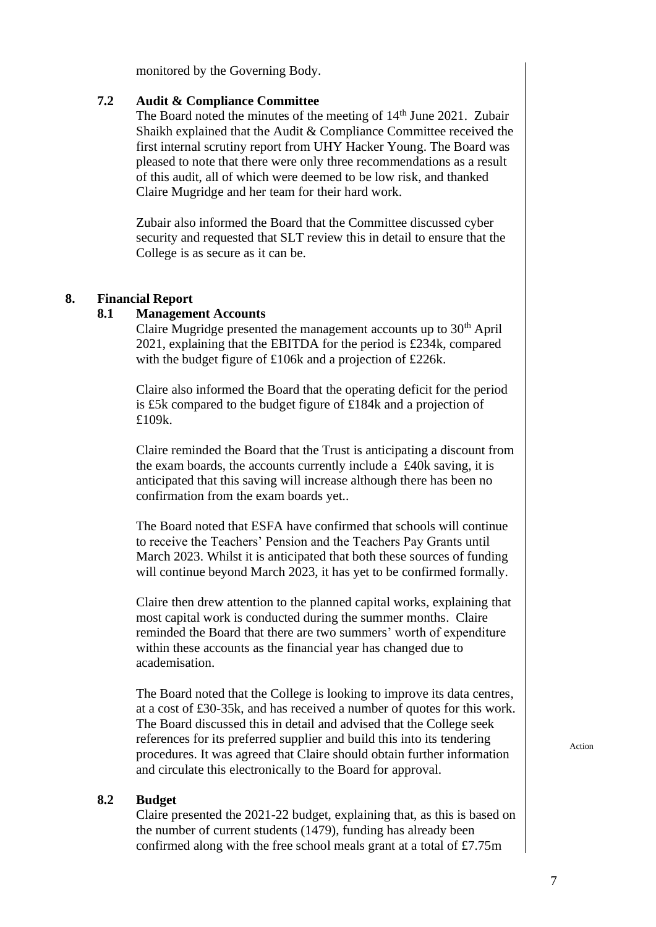monitored by the Governing Body.

#### **7.2 Audit & Compliance Committee**

The Board noted the minutes of the meeting of 14<sup>th</sup> June 2021. Zubair Shaikh explained that the Audit & Compliance Committee received the first internal scrutiny report from UHY Hacker Young. The Board was pleased to note that there were only three recommendations as a result of this audit, all of which were deemed to be low risk, and thanked Claire Mugridge and her team for their hard work.

Zubair also informed the Board that the Committee discussed cyber security and requested that SLT review this in detail to ensure that the College is as secure as it can be.

#### **8. Financial Report**

#### **8.1 Management Accounts**

Claire Mugridge presented the management accounts up to 30<sup>th</sup> April 2021, explaining that the EBITDA for the period is £234k, compared with the budget figure of £106k and a projection of £226k.

Claire also informed the Board that the operating deficit for the period is £5k compared to the budget figure of £184k and a projection of £109k.

Claire reminded the Board that the Trust is anticipating a discount from the exam boards, the accounts currently include a £40k saving, it is anticipated that this saving will increase although there has been no confirmation from the exam boards yet..

The Board noted that ESFA have confirmed that schools will continue to receive the Teachers' Pension and the Teachers Pay Grants until March 2023. Whilst it is anticipated that both these sources of funding will continue beyond March 2023, it has yet to be confirmed formally.

Claire then drew attention to the planned capital works, explaining that most capital work is conducted during the summer months. Claire reminded the Board that there are two summers' worth of expenditure within these accounts as the financial year has changed due to academisation.

The Board noted that the College is looking to improve its data centres, at a cost of £30-35k, and has received a number of quotes for this work. The Board discussed this in detail and advised that the College seek references for its preferred supplier and build this into its tendering procedures. It was agreed that Claire should obtain further information and circulate this electronically to the Board for approval.

#### **8.2 Budget**

Claire presented the 2021-22 budget, explaining that, as this is based on the number of current students (1479), funding has already been confirmed along with the free school meals grant at a total of £7.75m

Action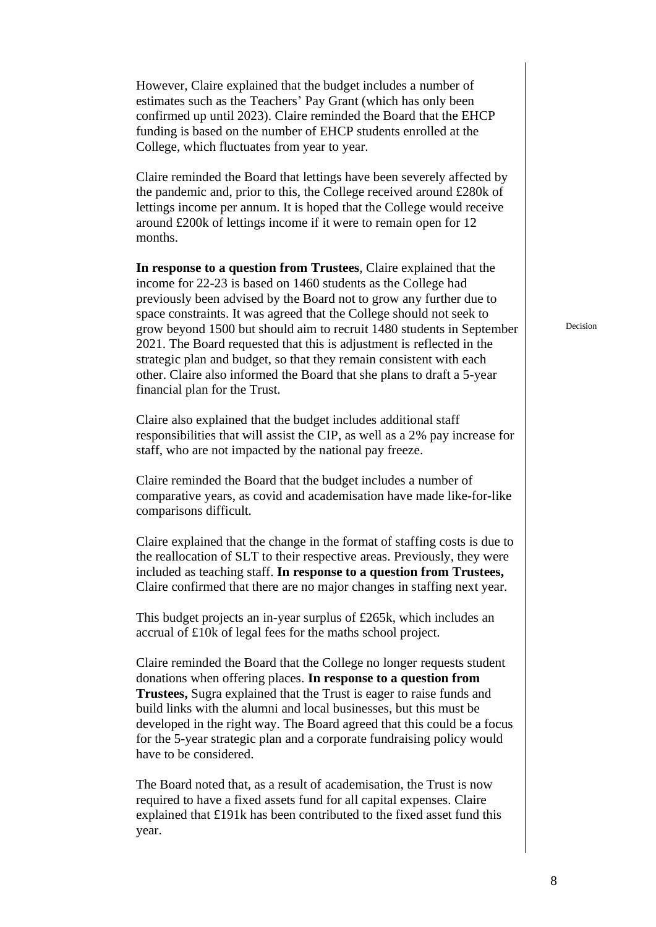However, Claire explained that the budget includes a number of estimates such as the Teachers' Pay Grant (which has only been confirmed up until 2023). Claire reminded the Board that the EHCP funding is based on the number of EHCP students enrolled at the College, which fluctuates from year to year.

Claire reminded the Board that lettings have been severely affected by the pandemic and, prior to this, the College received around £280k of lettings income per annum. It is hoped that the College would receive around £200k of lettings income if it were to remain open for 12 months.

**In response to a question from Trustees**, Claire explained that the income for 22-23 is based on 1460 students as the College had previously been advised by the Board not to grow any further due to space constraints. It was agreed that the College should not seek to grow beyond 1500 but should aim to recruit 1480 students in September 2021. The Board requested that this is adjustment is reflected in the strategic plan and budget, so that they remain consistent with each other. Claire also informed the Board that she plans to draft a 5-year financial plan for the Trust.

Claire also explained that the budget includes additional staff responsibilities that will assist the CIP, as well as a 2% pay increase for staff, who are not impacted by the national pay freeze.

Claire reminded the Board that the budget includes a number of comparative years, as covid and academisation have made like-for-like comparisons difficult.

Claire explained that the change in the format of staffing costs is due to the reallocation of SLT to their respective areas. Previously, they were included as teaching staff. **In response to a question from Trustees,** Claire confirmed that there are no major changes in staffing next year.

This budget projects an in-year surplus of £265k, which includes an accrual of £10k of legal fees for the maths school project.

Claire reminded the Board that the College no longer requests student donations when offering places. **In response to a question from Trustees,** Sugra explained that the Trust is eager to raise funds and build links with the alumni and local businesses, but this must be developed in the right way. The Board agreed that this could be a focus for the 5-year strategic plan and a corporate fundraising policy would have to be considered.

The Board noted that, as a result of academisation, the Trust is now required to have a fixed assets fund for all capital expenses. Claire explained that £191k has been contributed to the fixed asset fund this year.

Decision